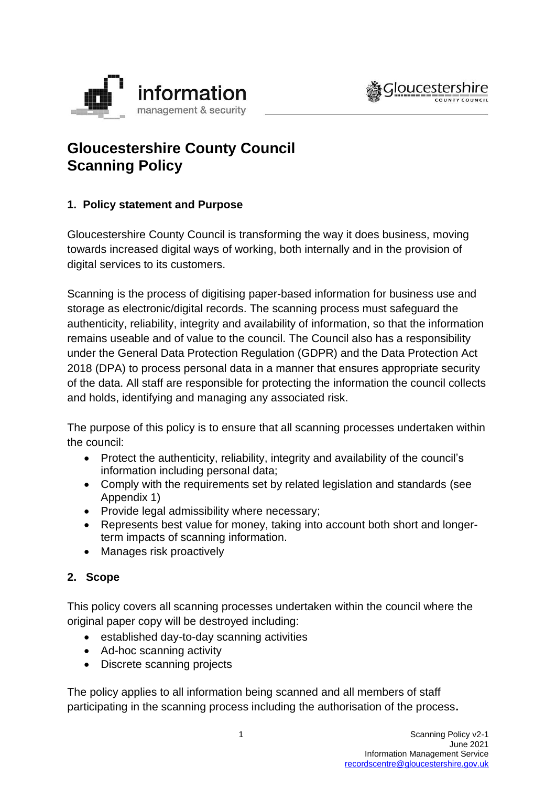



# **Gloucestershire County Council Scanning Policy**

## **1. Policy statement and Purpose**

Gloucestershire County Council is transforming the way it does business, moving towards increased digital ways of working, both internally and in the provision of digital services to its customers.

Scanning is the process of digitising paper-based information for business use and storage as electronic/digital records. The scanning process must safeguard the authenticity, reliability, integrity and availability of information, so that the information remains useable and of value to the council. The Council also has a responsibility under the General Data Protection Regulation (GDPR) and the Data Protection Act 2018 (DPA) to process personal data in a manner that ensures appropriate security of the data. All staff are responsible for protecting the information the council collects and holds, identifying and managing any associated risk.

The purpose of this policy is to ensure that all scanning processes undertaken within the council:

- Protect the authenticity, reliability, integrity and availability of the council's information including personal data;
- Comply with the requirements set by related legislation and standards (see Appendix 1)
- Provide legal admissibility where necessary;
- Represents best value for money, taking into account both short and longerterm impacts of scanning information.
- Manages risk proactively

## **2. Scope**

This policy covers all scanning processes undertaken within the council where the original paper copy will be destroyed including:

- established day-to-day scanning activities
- Ad-hoc scanning activity
- Discrete scanning projects

The policy applies to all information being scanned and all members of staff participating in the scanning process including the authorisation of the process**.**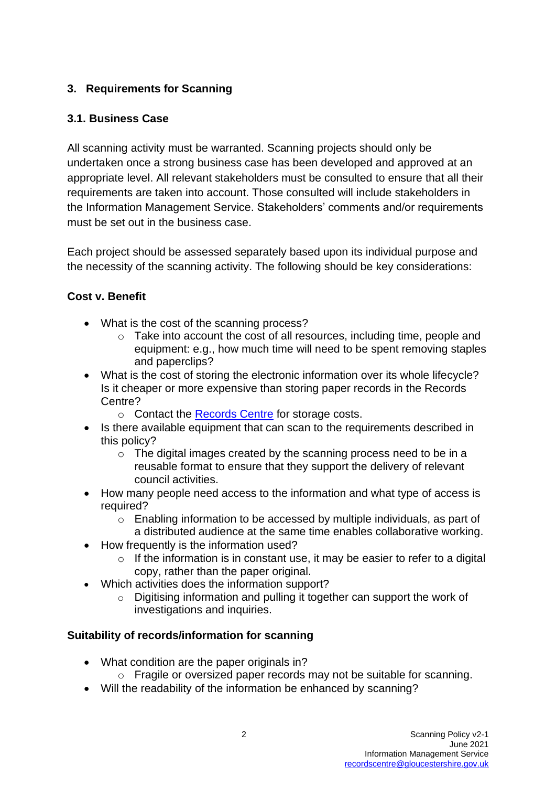## **3. Requirements for Scanning**

## **3.1. Business Case**

All scanning activity must be warranted. Scanning projects should only be undertaken once a strong business case has been developed and approved at an appropriate level. All relevant stakeholders must be consulted to ensure that all their requirements are taken into account. Those consulted will include stakeholders in the Information Management Service. Stakeholders' comments and/or requirements must be set out in the business case.

Each project should be assessed separately based upon its individual purpose and the necessity of the scanning activity. The following should be key considerations:

### **Cost v. Benefit**

- What is the cost of the scanning process?
	- o Take into account the cost of all resources, including time, people and equipment: e.g., how much time will need to be spent removing staples and paperclips?
- What is the cost of storing the electronic information over its whole lifecycle? Is it cheaper or more expensive than storing paper records in the Records Centre?
	- o Contact the [Records Centre](https://staffnet.gloucestershire.gov.uk/internal-services/information-management-service/records-centre/) for storage costs.
- Is there available equipment that can scan to the requirements described in this policy?
	- o The digital images created by the scanning process need to be in a reusable format to ensure that they support the delivery of relevant council activities.
- How many people need access to the information and what type of access is required?
	- o Enabling information to be accessed by multiple individuals, as part of a distributed audience at the same time enables collaborative working.
- How frequently is the information used?
	- $\circ$  If the information is in constant use, it may be easier to refer to a digital copy, rather than the paper original.
- Which activities does the information support?
	- o Digitising information and pulling it together can support the work of investigations and inquiries.

#### **Suitability of records/information for scanning**

- What condition are the paper originals in?
	- o Fragile or oversized paper records may not be suitable for scanning.
- Will the readability of the information be enhanced by scanning?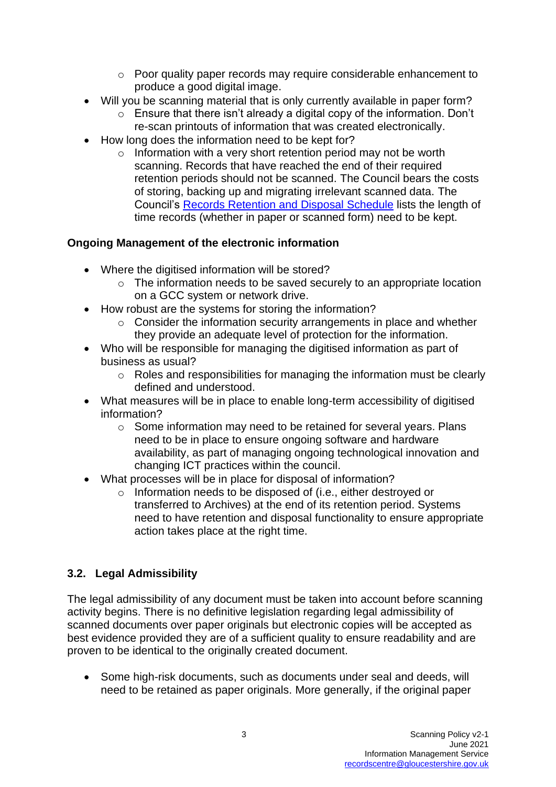- o Poor quality paper records may require considerable enhancement to produce a good digital image.
- Will you be scanning material that is only currently available in paper form?
	- $\circ$  Ensure that there isn't already a digital copy of the information. Don't re-scan printouts of information that was created electronically.
- How long does the information need to be kept for?
	- $\circ$  Information with a very short retention period may not be worth scanning. Records that have reached the end of their required retention periods should not be scanned. The Council bears the costs of storing, backing up and migrating irrelevant scanned data. The Council's [Records Retention](https://www.gloucestershire.gov.uk/media/2103618/2020-retention-schedule-v34.pdf) and Disposal Schedule lists the length of time records (whether in paper or scanned form) need to be kept.

#### **Ongoing Management of the electronic information**

- Where the digitised information will be stored?
	- $\circ$  The information needs to be saved securely to an appropriate location on a GCC system or network drive.
- How robust are the systems for storing the information?
	- $\circ$  Consider the information security arrangements in place and whether they provide an adequate level of protection for the information.
- Who will be responsible for managing the digitised information as part of business as usual?
	- $\circ$  Roles and responsibilities for managing the information must be clearly defined and understood.
- What measures will be in place to enable long-term accessibility of digitised information?
	- $\circ$  Some information may need to be retained for several years. Plans need to be in place to ensure ongoing software and hardware availability, as part of managing ongoing technological innovation and changing ICT practices within the council.
- What processes will be in place for disposal of information?
	- o Information needs to be disposed of (i.e., either destroyed or transferred to Archives) at the end of its retention period. Systems need to have retention and disposal functionality to ensure appropriate action takes place at the right time.

#### **3.2. Legal Admissibility**

The legal admissibility of any document must be taken into account before scanning activity begins. There is no definitive legislation regarding legal admissibility of scanned documents over paper originals but electronic copies will be accepted as best evidence provided they are of a sufficient quality to ensure readability and are proven to be identical to the originally created document.

• Some high-risk documents, such as documents under seal and deeds, will need to be retained as paper originals. More generally, if the original paper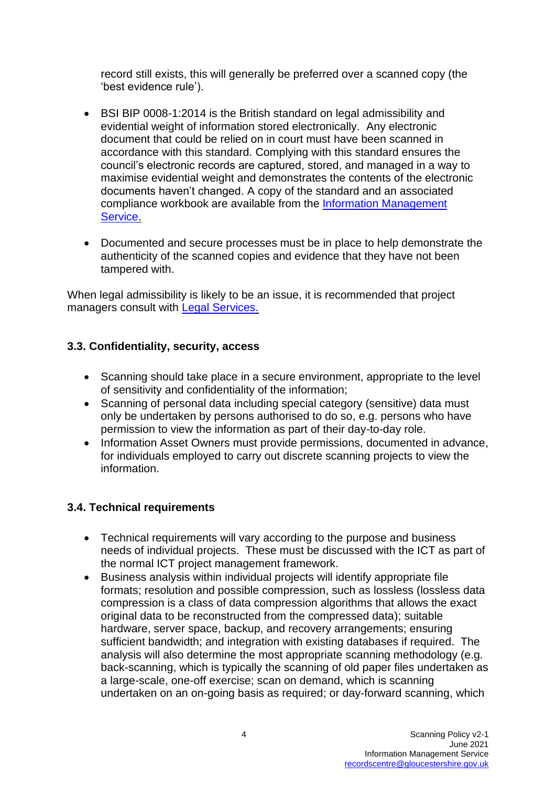record still exists, this will generally be preferred over a scanned copy (the 'best evidence rule').

- BSI BIP 0008-1:2014 is the British standard on legal admissibility and evidential weight of information stored electronically. Any electronic document that could be relied on in court must have been scanned in accordance with this standard. Complying with this standard ensures the council's electronic records are captured, stored, and managed in a way to maximise evidential weight and demonstrates the contents of the electronic documents haven't changed. A copy of the standard and an associated compliance workbook are available from the [Information Management](https://staffnet.gloucestershire.gov.uk/internal-services/information-management-service/)  [Service.](https://staffnet.gloucestershire.gov.uk/internal-services/information-management-service/)
- Documented and secure processes must be in place to help demonstrate the authenticity of the scanned copies and evidence that they have not been tampered with.

When legal admissibility is likely to be an issue, it is recommended that project managers consult with [Legal Services.](https://staffnet.gloucestershire.gov.uk/internal-services/legal-services/)

### **3.3. Confidentiality, security, access**

- Scanning should take place in a secure environment, appropriate to the level of sensitivity and confidentiality of the information;
- Scanning of personal data including special category (sensitive) data must only be undertaken by persons authorised to do so, e.g. persons who have permission to view the information as part of their day-to-day role.
- Information Asset Owners must provide permissions, documented in advance, for individuals employed to carry out discrete scanning projects to view the information.

## **3.4. Technical requirements**

- Technical requirements will vary according to the purpose and business needs of individual projects. These must be discussed with the ICT as part of the normal ICT project management framework.
- Business analysis within individual projects will identify appropriate file formats; resolution and possible compression, such as lossless (lossless data compression is a class of data compression algorithms that allows the exact original data to be reconstructed from the compressed data); suitable hardware, server space, backup, and recovery arrangements; ensuring sufficient bandwidth; and integration with existing databases if required. The analysis will also determine the most appropriate scanning methodology (e.g. back-scanning, which is typically the scanning of old paper files undertaken as a large-scale, one-off exercise; scan on demand, which is scanning undertaken on an on-going basis as required; or day-forward scanning, which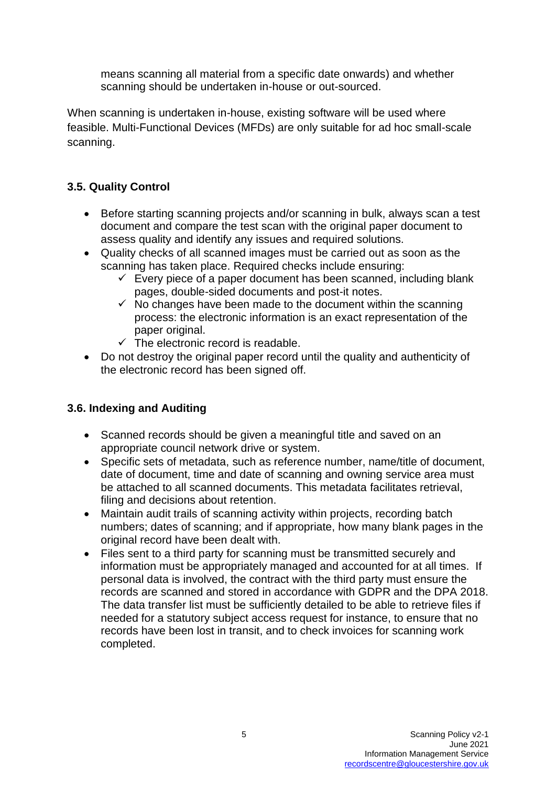means scanning all material from a specific date onwards) and whether scanning should be undertaken in-house or out-sourced.

When scanning is undertaken in-house, existing software will be used where feasible. Multi-Functional Devices (MFDs) are only suitable for ad hoc small-scale scanning.

# **3.5. Quality Control**

- Before starting scanning projects and/or scanning in bulk, always scan a test document and compare the test scan with the original paper document to assess quality and identify any issues and required solutions.
- Quality checks of all scanned images must be carried out as soon as the scanning has taken place. Required checks include ensuring:
	- $\checkmark$  Every piece of a paper document has been scanned, including blank pages, double-sided documents and post-it notes.
	- $\checkmark$  No changes have been made to the document within the scanning process: the electronic information is an exact representation of the paper original.
	- $\checkmark$  The electronic record is readable.
- Do not destroy the original paper record until the quality and authenticity of the electronic record has been signed off.

## **3.6. Indexing and Auditing**

- Scanned records should be given a meaningful title and saved on an appropriate council network drive or system.
- Specific sets of metadata, such as reference number, name/title of document, date of document, time and date of scanning and owning service area must be attached to all scanned documents. This metadata facilitates retrieval, filing and decisions about retention.
- Maintain audit trails of scanning activity within projects, recording batch numbers; dates of scanning; and if appropriate, how many blank pages in the original record have been dealt with.
- Files sent to a third party for scanning must be transmitted securely and information must be appropriately managed and accounted for at all times. If personal data is involved, the contract with the third party must ensure the records are scanned and stored in accordance with GDPR and the DPA 2018. The data transfer list must be sufficiently detailed to be able to retrieve files if needed for a statutory subject access request for instance, to ensure that no records have been lost in transit, and to check invoices for scanning work completed.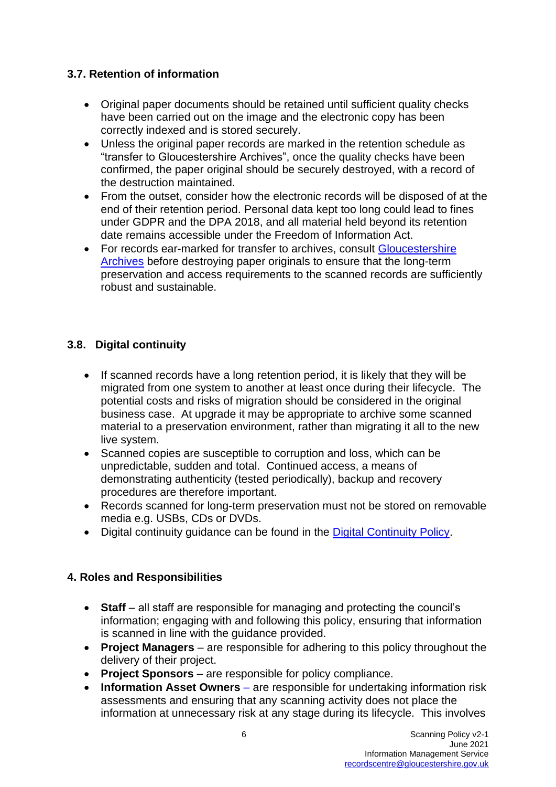## **3.7. Retention of information**

- Original paper documents should be retained until sufficient quality checks have been carried out on the image and the electronic copy has been correctly indexed and is stored securely.
- Unless the original paper records are marked in the retention schedule as "transfer to Gloucestershire Archives", once the quality checks have been confirmed, the paper original should be securely destroyed, with a record of the destruction maintained.
- From the outset, consider how the electronic records will be disposed of at the end of their retention period. Personal data kept too long could lead to fines under GDPR and the DPA 2018, and all material held beyond its retention date remains accessible under the Freedom of Information Act.
- For records ear-marked for transfer to archives, consult Gloucestershire [Archives](http://www.gloucestershire.gov.uk/archives/) before destroying paper originals to ensure that the long-term preservation and access requirements to the scanned records are sufficiently robust and sustainable.

### **3.8. Digital continuity**

- If scanned records have a long retention period, it is likely that they will be migrated from one system to another at least once during their lifecycle. The potential costs and risks of migration should be considered in the original business case. At upgrade it may be appropriate to archive some scanned material to a preservation environment, rather than migrating it all to the new live system.
- Scanned copies are susceptible to corruption and loss, which can be unpredictable, sudden and total. Continued access, a means of demonstrating authenticity (tested periodically), backup and recovery procedures are therefore important.
- Records scanned for long-term preservation must not be stored on removable media e.g. USBs, CDs or DVDs.
- Digital continuity guidance can be found in the [Digital Continuity Policy.](http://www.gloucestershire.gov.uk/media/6625/digital_continuity_policy_2012__v1-1-57807.pdf)

## **4. Roles and Responsibilities**

- **Staff** all staff are responsible for managing and protecting the council's information; engaging with and following this policy, ensuring that information is scanned in line with the guidance provided.
- **Project Managers** are responsible for adhering to this policy throughout the delivery of their project.
- **Project Sponsors**  are responsible for policy compliance.
- **[Information Asset Owners](https://staffnet.gloucestershire.gov.uk/internal-services/information-management-service/information-asset-owners-iao-help-guidance)** are responsible for undertaking information risk assessments and ensuring that any scanning activity does not place the information at unnecessary risk at any stage during its lifecycle. This involves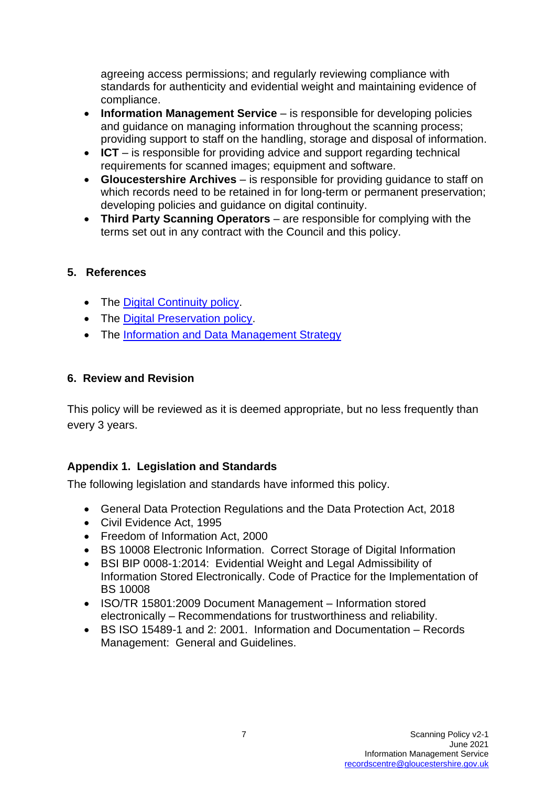agreeing access permissions; and regularly reviewing compliance with standards for authenticity and evidential weight and maintaining evidence of compliance.

- **Information Management Service** is responsible for developing policies and guidance on managing information throughout the scanning process; providing support to staff on the handling, storage and disposal of information.
- **ICT** is responsible for providing advice and support regarding technical requirements for scanned images; equipment and software.
- **Gloucestershire Archives** is responsible for providing guidance to staff on which records need to be retained in for long-term or permanent preservation; developing policies and guidance on digital continuity.
- **Third Party Scanning Operators** are responsible for complying with the terms set out in any contract with the Council and this policy.

#### **5. References**

- The [Digital Continuity](https://www.gloucestershire.gov.uk/media/15746/digital-continuity-policy-2017-v1-2.pdf) policy.
- The [Digital Preservation policy.](https://www.gloucestershire.gov.uk/media/1881/digital-preservation-policy-2018-v31.pdf)
- The [Information and Data Management Strategy](https://www.gloucestershire.gov.uk/media/2088939/2019-info-data-management-strategy-v1-0.pdf)

#### **6. Review and Revision**

This policy will be reviewed as it is deemed appropriate, but no less frequently than every 3 years.

#### **Appendix 1. Legislation and Standards**

The following legislation and standards have informed this policy.

- General Data Protection Regulations and the Data Protection Act, 2018
- Civil Evidence Act, 1995
- Freedom of Information Act, 2000
- BS 10008 Electronic Information. Correct Storage of Digital Information
- BSI BIP 0008-1:2014: Evidential Weight and Legal Admissibility of Information Stored Electronically. Code of Practice for the Implementation of BS 10008
- ISO/TR 15801:2009 Document Management Information stored electronically – Recommendations for trustworthiness and reliability.
- BS ISO 15489-1 and 2: 2001. Information and Documentation Records Management: General and Guidelines.